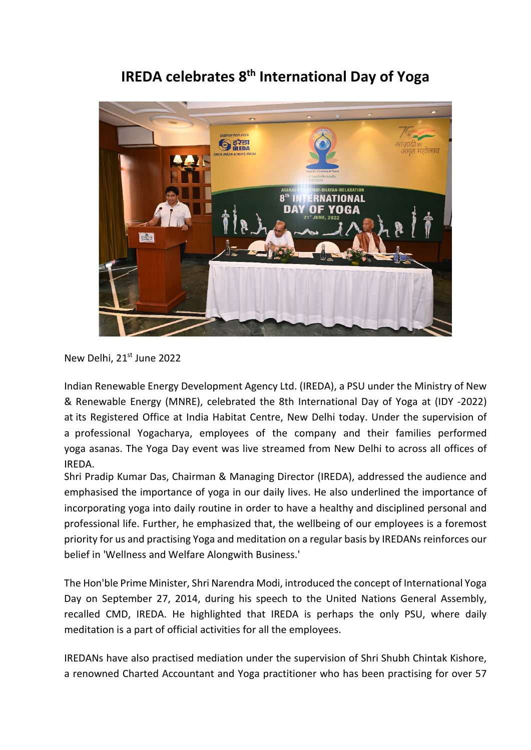## **IREDA celebrates 8th International Day of Yoga**



New Delhi, 21<sup>st</sup> June 2022

Indian Renewable Energy Development Agency Ltd. (IREDA), a PSU under the Ministry of New & Renewable Energy (MNRE), celebrated the 8th International Day of Yoga at (IDY -2022) at its Registered Office at India Habitat Centre, New Delhi today. Under the supervision of a professional Yogacharya, employees of the company and their families performed yoga asanas. The Yoga Day event was live streamed from New Delhi to across all offices of IREDA.

Shri Pradip Kumar Das, Chairman & Managing Director (IREDA), addressed the audience and emphasised the importance of yoga in our daily lives. He also underlined the importance of incorporating yoga into daily routine in order to have a healthy and disciplined personal and professional life. Further, he emphasized that, the wellbeing of our employees is a foremost priority for us and practising Yoga and meditation on a regular basis by IREDANs reinforces our belief in 'Wellness and Welfare Alongwith Business.'

The Hon'ble Prime Minister, Shri Narendra Modi, introduced the concept of International Yoga Day on September 27, 2014, during his speech to the United Nations General Assembly, recalled CMD, IREDA. He highlighted that IREDA is perhaps the only PSU, where daily meditation is a part of official activities for all the employees.

IREDANs have also practised mediation under the supervision of Shri Shubh Chintak Kishore, a renowned Charted Accountant and Yoga practitioner who has been practising for over 57